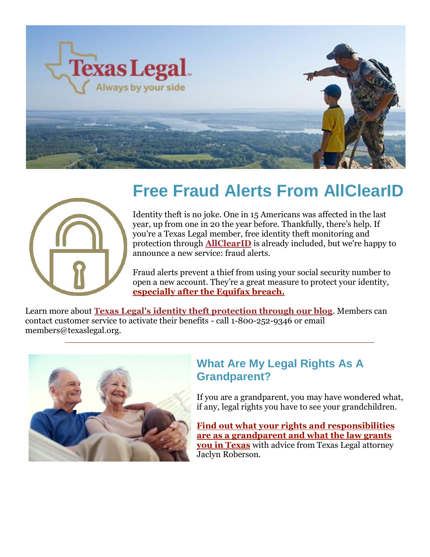



# **Free Fraud Alerts From AllClearID**

Identity theft is no joke. One in 15 Americans was affected in the last year, up from one in 20 the year before. Thankfully, there's help. If you're a Texas Legal member, free identity theft monitoring and protection through **[AllClearID](https://www.allclearid.com/)** is already included, but we're happy to announce a new service: fraud alerts.

Fraud alerts prevent a thief from using your social security number to open a new account. They're a great measure to protect your identity, **[especially after the Equifax breach.](https://texaslegal.org/texaslegal-blog/every-texan-needs-equifax-breach-protect-money)**

Learn more about **[Texas Legal's identity theft protection through our blog](https://texaslegal.org/texaslegal-blog/new-id-theft-benefits-every-texas-legal-member)**. Members can contact customer service to activate their benefits - call 1-800-252-9346 or email members@texaslegal.org.



#### **What Are My Legal Rights As A Grandparent?**

If you are a grandparent, you may have wondered what, if any, legal rights you have to see your grandchildren.

**[Find out what your rights and responsibilities](https://texaslegal.org/texaslegal-blog/legal-rights-grandparent-texas)  [are as a grandparent and what the law grants](https://texaslegal.org/texaslegal-blog/legal-rights-grandparent-texas)  [you in Texas](https://texaslegal.org/texaslegal-blog/legal-rights-grandparent-texas)** with advice from Texas Legal attorney Jaclyn Roberson.